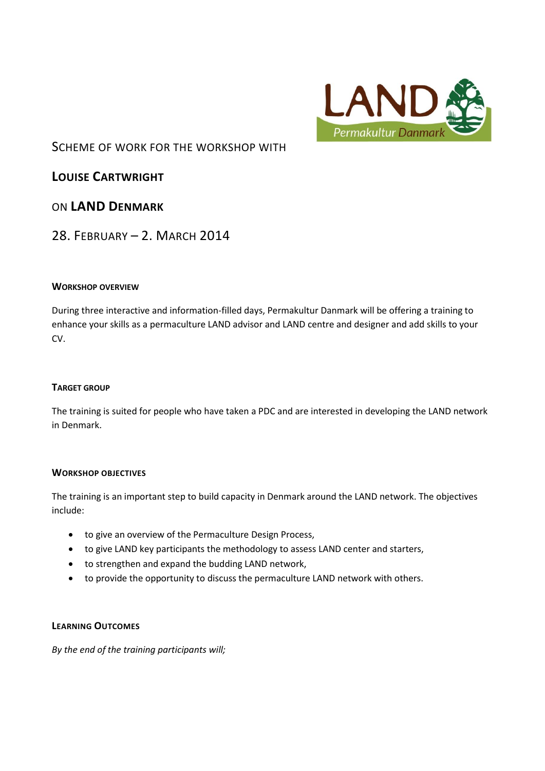

# SCHEME OF WORK FOR THE WORKSHOP WITH

**LOUISE CARTWRIGHT**

# ON **LAND DENMARK**

# 28. FEBRUARY – 2. MARCH 2014

### **WORKSHOP OVERVIEW**

During three interactive and information-filled days, Permakultur Danmark will be offering a training to enhance your skills as a permaculture LAND advisor and LAND centre and designer and add skills to your CV.

#### **TARGET GROUP**

The training is suited for people who have taken a PDC and are interested in developing the LAND network in Denmark.

## **WORKSHOP OBJECTIVES**

The training is an important step to build capacity in Denmark around the LAND network. The objectives include:

- to give an overview of the Permaculture Design Process,
- to give LAND key participants the methodology to assess LAND center and starters,
- to strengthen and expand the budding LAND network,
- to provide the opportunity to discuss the permaculture LAND network with others.

#### **LEARNING OUTCOMES**

*By the end of the training participants will;*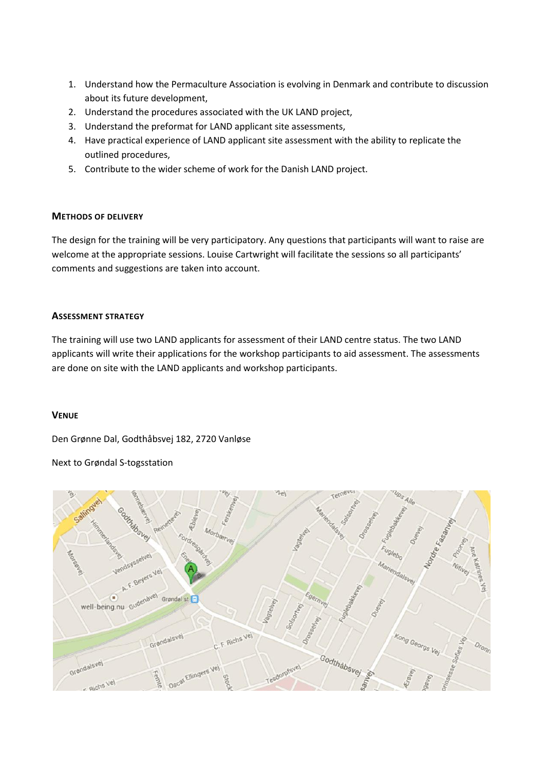- 1. Understand how the Permaculture Association is evolving in Denmark and contribute to discussion about its future development,
- 2. Understand the procedures associated with the UK LAND project,
- 3. Understand the preformat for LAND applicant site assessments,
- 4. Have practical experience of LAND applicant site assessment with the ability to replicate the outlined procedures,
- 5. Contribute to the wider scheme of work for the Danish LAND project.

#### **METHODS OF DELIVERY**

The design for the training will be very participatory. Any questions that participants will want to raise are welcome at the appropriate sessions. Louise Cartwright will facilitate the sessions so all participants' comments and suggestions are taken into account.

#### **ASSESSMENT STRATEGY**

The training will use two LAND applicants for assessment of their LAND centre status. The two LAND applicants will write their applications for the workshop participants to aid assessment. The assessments are done on site with the LAND applicants and workshop participants.

#### **VENUE**

Den Grønne Dal, Godthåbsvej 182, 2720 Vanløse

Next to Grøndal S-togsstation

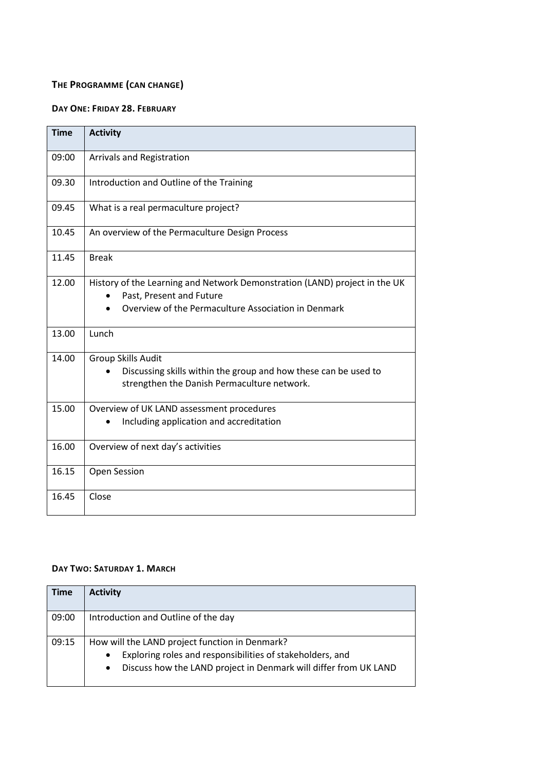# **THE PROGRAMME (CAN CHANGE)**

## **DAY ONE: FRIDAY 28. FEBRUARY**

| <b>Time</b> | <b>Activity</b>                                                                                                                                               |
|-------------|---------------------------------------------------------------------------------------------------------------------------------------------------------------|
| 09:00       | Arrivals and Registration                                                                                                                                     |
| 09.30       | Introduction and Outline of the Training                                                                                                                      |
| 09.45       | What is a real permaculture project?                                                                                                                          |
| 10.45       | An overview of the Permaculture Design Process                                                                                                                |
| 11.45       | <b>Break</b>                                                                                                                                                  |
| 12.00       | History of the Learning and Network Demonstration (LAND) project in the UK<br>Past, Present and Future<br>Overview of the Permaculture Association in Denmark |
| 13.00       | Lunch                                                                                                                                                         |
| 14.00       | Group Skills Audit<br>Discussing skills within the group and how these can be used to<br>strengthen the Danish Permaculture network.                          |
| 15.00       | Overview of UK LAND assessment procedures                                                                                                                     |
|             | Including application and accreditation                                                                                                                       |
| 16.00       | Overview of next day's activities                                                                                                                             |
| 16.15       | Open Session                                                                                                                                                  |
| 16.45       | Close                                                                                                                                                         |

## **DAY TWO: SATURDAY 1. MARCH**

| Time  | <b>Activity</b>                                                               |
|-------|-------------------------------------------------------------------------------|
| 09:00 | Introduction and Outline of the day                                           |
| 09:15 | How will the LAND project function in Denmark?                                |
|       | Exploring roles and responsibilities of stakeholders, and<br>$\bullet$        |
|       | Discuss how the LAND project in Denmark will differ from UK LAND<br>$\bullet$ |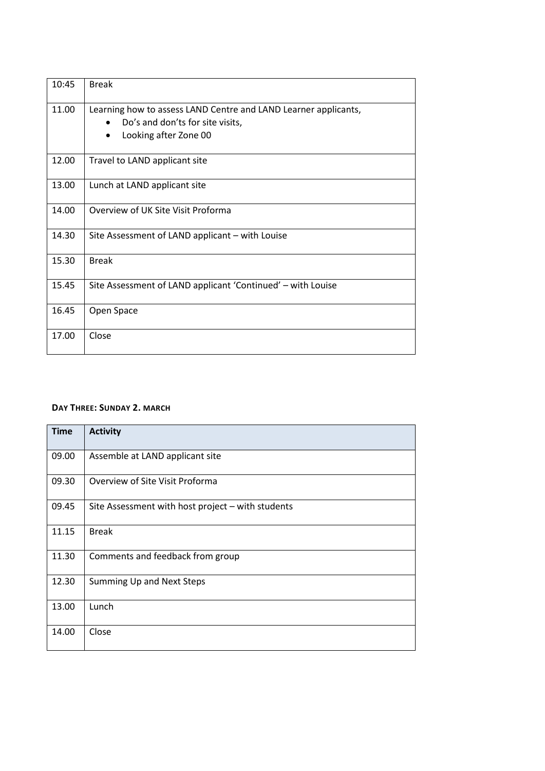| 10:45 | <b>Break</b>                                                                                                                              |
|-------|-------------------------------------------------------------------------------------------------------------------------------------------|
| 11.00 | Learning how to assess LAND Centre and LAND Learner applicants,<br>Do's and don'ts for site visits,<br>Looking after Zone 00<br>$\bullet$ |
| 12.00 | Travel to LAND applicant site                                                                                                             |
| 13.00 | Lunch at LAND applicant site                                                                                                              |
| 14.00 | Overview of UK Site Visit Proforma                                                                                                        |
| 14.30 | Site Assessment of LAND applicant - with Louise                                                                                           |
| 15.30 | <b>Break</b>                                                                                                                              |
| 15.45 | Site Assessment of LAND applicant 'Continued' – with Louise                                                                               |
| 16.45 | Open Space                                                                                                                                |
| 17.00 | Close                                                                                                                                     |

#### **DAY THREE: SUNDAY 2. MARCH**

| <b>Time</b> | <b>Activity</b>                                   |
|-------------|---------------------------------------------------|
| 09.00       | Assemble at LAND applicant site                   |
| 09.30       | Overview of Site Visit Proforma                   |
| 09.45       | Site Assessment with host project - with students |
| 11.15       | <b>Break</b>                                      |
| 11.30       | Comments and feedback from group                  |
| 12.30       | Summing Up and Next Steps                         |
| 13.00       | Lunch                                             |
| 14.00       | Close                                             |